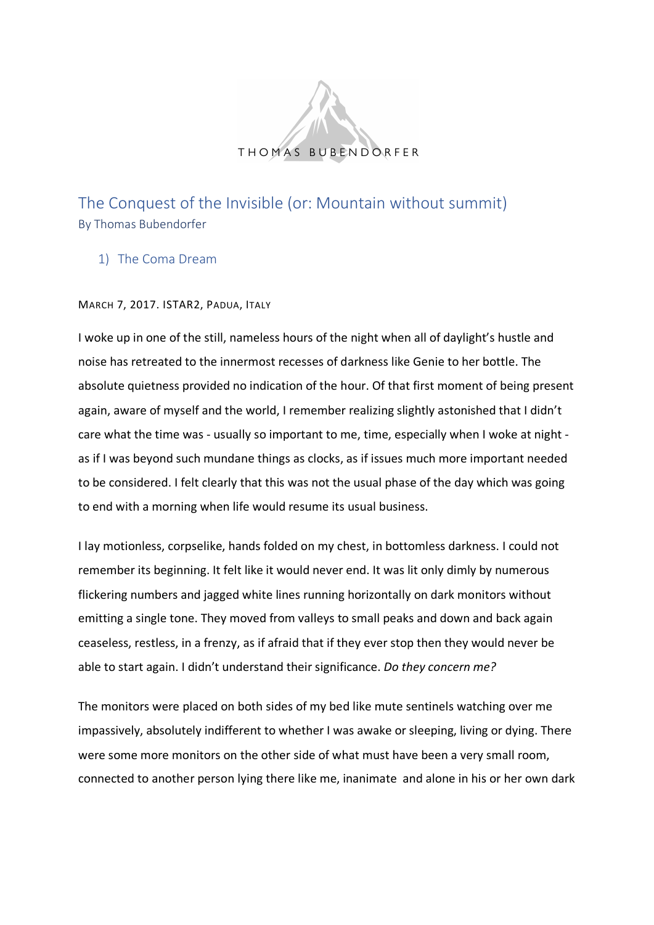

The Conquest of the Invisible (or: Mountain without summit) By Thomas Bubendorfer

1) The Coma Dream

MARCH 7, 2017. ISTAR2, PADUA, ITALY

I woke up in one of the still, nameless hours of the night when all of daylight's hustle and noise has retreated to the innermost recesses of darkness like Genie to her bottle. The absolute quietness provided no indication of the hour. Of that first moment of being present again, aware of myself and the world, I remember realizing slightly astonished that I didn't care what the time was - usually so important to me, time, especially when I woke at night as if I was beyond such mundane things as clocks, as if issues much more important needed to be considered. I felt clearly that this was not the usual phase of the day which was going to end with a morning when life would resume its usual business.

I lay motionless, corpselike, hands folded on my chest, in bottomless darkness. I could not remember its beginning. It felt like it would never end. It was lit only dimly by numerous flickering numbers and jagged white lines running horizontally on dark monitors without emitting a single tone. They moved from valleys to small peaks and down and back again ceaseless, restless, in a frenzy, as if afraid that if they ever stop then they would never be able to start again. I didn't understand their significance. *Do they concern me?*

The monitors were placed on both sides of my bed like mute sentinels watching over me impassively, absolutely indifferent to whether I was awake or sleeping, living or dying. There were some more monitors on the other side of what must have been a very small room, connected to another person lying there like me, inanimate and alone in his or her own dark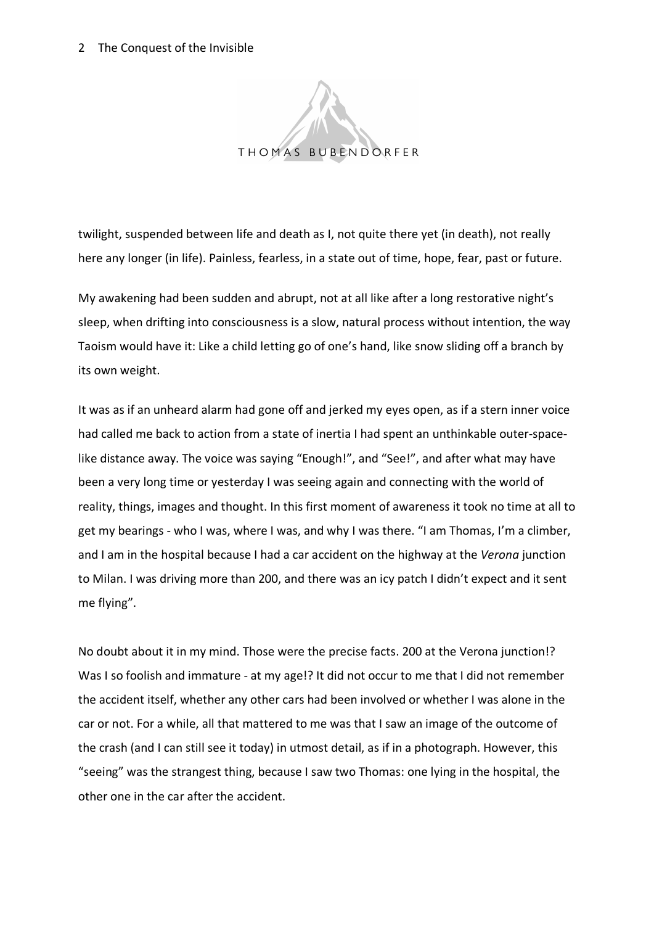

twilight, suspended between life and death as I, not quite there yet (in death), not really here any longer (in life). Painless, fearless, in a state out of time, hope, fear, past or future.

My awakening had been sudden and abrupt, not at all like after a long restorative night's sleep, when drifting into consciousness is a slow, natural process without intention, the way Taoism would have it: Like a child letting go of one's hand, like snow sliding off a branch by its own weight.

It was as if an unheard alarm had gone off and jerked my eyes open, as if a stern inner voice had called me back to action from a state of inertia I had spent an unthinkable outer-spacelike distance away. The voice was saying "Enough!", and "See!", and after what may have been a very long time or yesterday I was seeing again and connecting with the world of reality, things, images and thought. In this first moment of awareness it took no time at all to get my bearings - who I was, where I was, and why I was there. "I am Thomas, I'm a climber, and I am in the hospital because I had a car accident on the highway at the *Verona* junction to Milan. I was driving more than 200, and there was an icy patch I didn't expect and it sent me flying".

No doubt about it in my mind. Those were the precise facts. 200 at the Verona junction!? Was I so foolish and immature - at my age!? It did not occur to me that I did not remember the accident itself, whether any other cars had been involved or whether I was alone in the car or not. For a while, all that mattered to me was that I saw an image of the outcome of the crash (and I can still see it today) in utmost detail, as if in a photograph. However, this "seeing" was the strangest thing, because I saw two Thomas: one lying in the hospital, the other one in the car after the accident.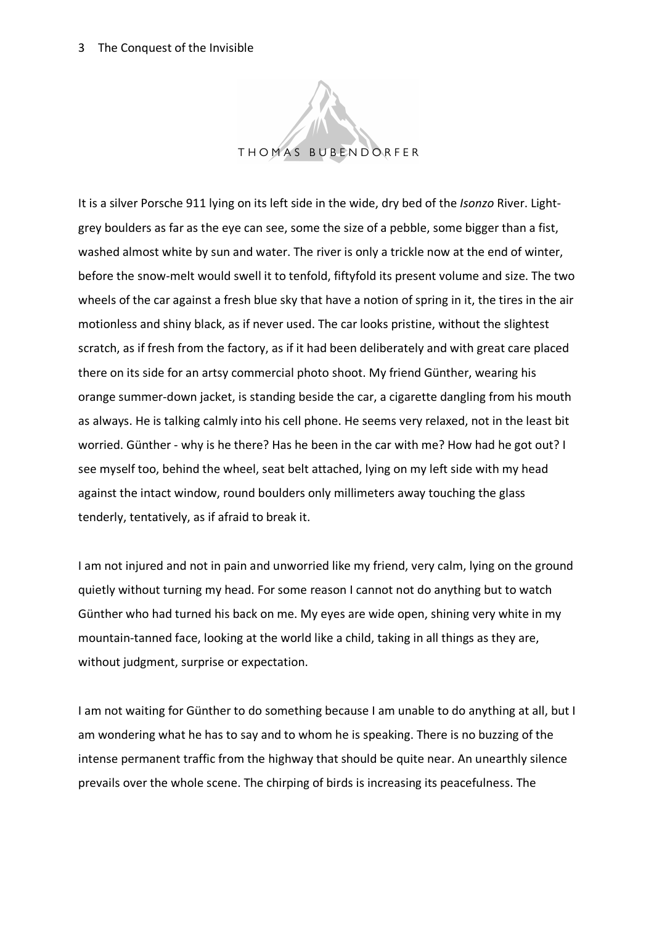

It is a silver Porsche 911 lying on its left side in the wide, dry bed of the *Isonzo* River. Lightgrey boulders as far as the eye can see, some the size of a pebble, some bigger than a fist, washed almost white by sun and water. The river is only a trickle now at the end of winter, before the snow-melt would swell it to tenfold, fiftyfold its present volume and size. The two wheels of the car against a fresh blue sky that have a notion of spring in it, the tires in the air motionless and shiny black, as if never used. The car looks pristine, without the slightest scratch, as if fresh from the factory, as if it had been deliberately and with great care placed there on its side for an artsy commercial photo shoot. My friend Günther, wearing his orange summer-down jacket, is standing beside the car, a cigarette dangling from his mouth as always. He is talking calmly into his cell phone. He seems very relaxed, not in the least bit worried. Günther - why is he there? Has he been in the car with me? How had he got out? I see myself too, behind the wheel, seat belt attached, lying on my left side with my head against the intact window, round boulders only millimeters away touching the glass tenderly, tentatively, as if afraid to break it.

I am not injured and not in pain and unworried like my friend, very calm, lying on the ground quietly without turning my head. For some reason I cannot not do anything but to watch Günther who had turned his back on me. My eyes are wide open, shining very white in my mountain-tanned face, looking at the world like a child, taking in all things as they are, without judgment, surprise or expectation.

I am not waiting for Günther to do something because I am unable to do anything at all, but I am wondering what he has to say and to whom he is speaking. There is no buzzing of the intense permanent traffic from the highway that should be quite near. An unearthly silence prevails over the whole scene. The chirping of birds is increasing its peacefulness. The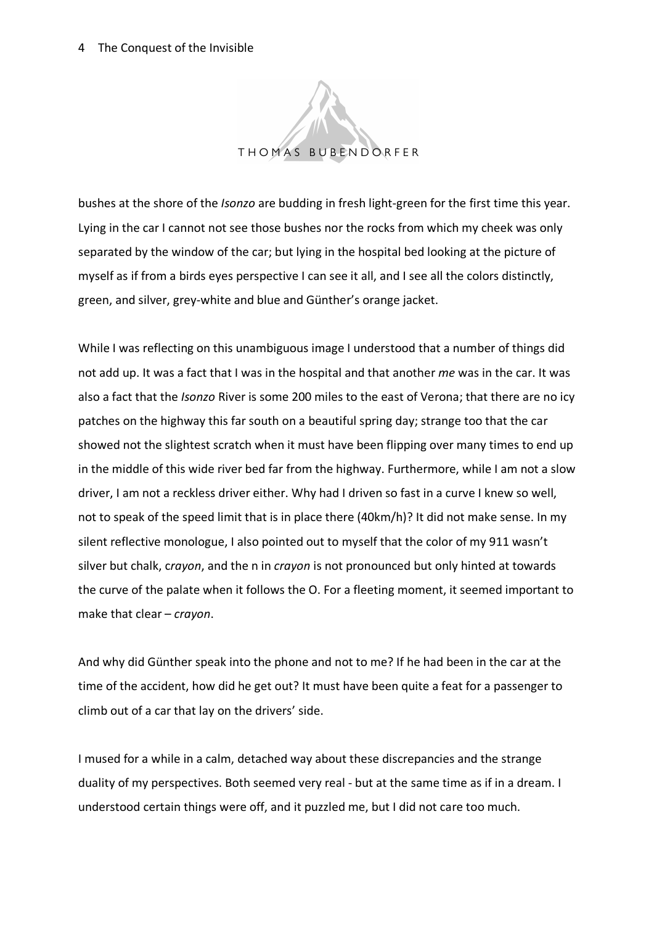

bushes at the shore of the *Isonzo* are budding in fresh light-green for the first time this year. Lying in the car I cannot not see those bushes nor the rocks from which my cheek was only separated by the window of the car; but lying in the hospital bed looking at the picture of myself as if from a birds eyes perspective I can see it all, and I see all the colors distinctly, green, and silver, grey-white and blue and Günther's orange jacket.

While I was reflecting on this unambiguous image I understood that a number of things did not add up. It was a fact that I was in the hospital and that another *me* was in the car. It was also a fact that the *Isonzo* River is some 200 miles to the east of Verona; that there are no icy patches on the highway this far south on a beautiful spring day; strange too that the car showed not the slightest scratch when it must have been flipping over many times to end up in the middle of this wide river bed far from the highway. Furthermore, while I am not a slow driver, I am not a reckless driver either. Why had I driven so fast in a curve I knew so well, not to speak of the speed limit that is in place there (40km/h)? It did not make sense. In my silent reflective monologue, I also pointed out to myself that the color of my 911 wasn't silver but chalk, c*rayon*, and the n in *crayon* is not pronounced but only hinted at towards the curve of the palate when it follows the O. For a fleeting moment, it seemed important to make that clear – *crayon*.

And why did Günther speak into the phone and not to me? If he had been in the car at the time of the accident, how did he get out? It must have been quite a feat for a passenger to climb out of a car that lay on the drivers' side.

I mused for a while in a calm, detached way about these discrepancies and the strange duality of my perspectives. Both seemed very real - but at the same time as if in a dream. I understood certain things were off, and it puzzled me, but I did not care too much.